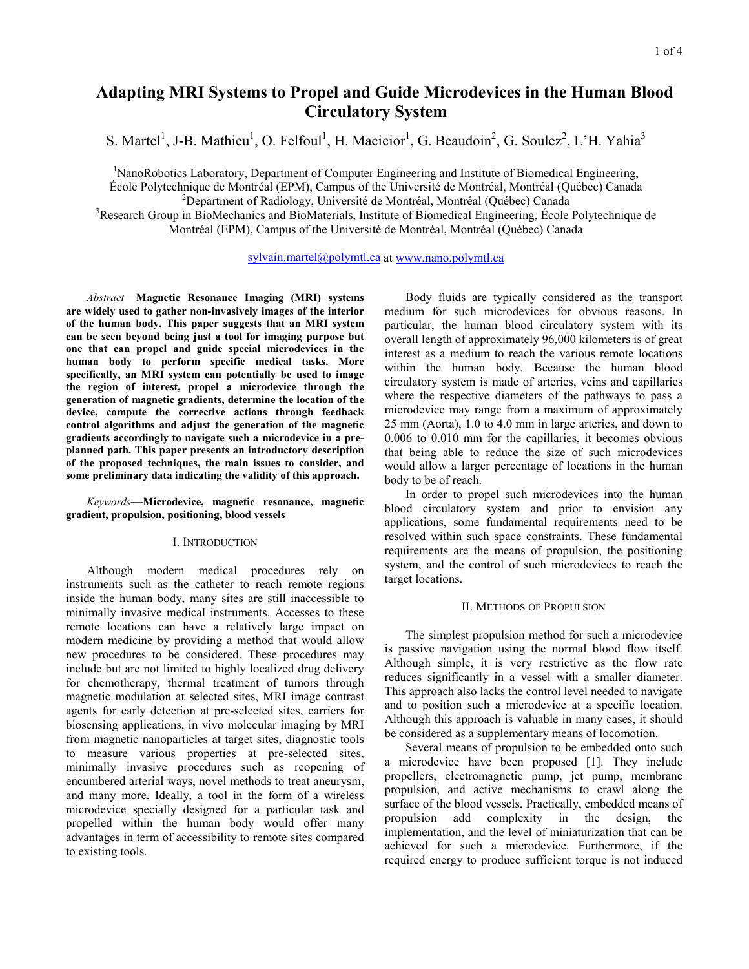# **Adapting MRI Systems to Propel and Guide Microdevices in the Human Blood Circulatory System**

S. Martel<sup>1</sup>, J-B. Mathieu<sup>1</sup>, O. Felfoul<sup>1</sup>, H. Macicior<sup>1</sup>, G. Beaudoin<sup>2</sup>, G. Soulez<sup>2</sup>, L'H. Yahia<sup>3</sup>

<sup>1</sup>NanoRobotics Laboratory, Department of Computer Engineering and Institute of Biomedical Engineering, École Polytechnique de Montréal (EPM), Campus of the Université de Montréal, Montréal (Québec) Canada 2

<sup>2</sup>Department of Radiology, Université de Montréal, Montréal (Québec) Canada

<sup>3</sup>Research Group in BioMechanics and BioMaterials, Institute of Biomedical Engineering, École Polytechnique de Montréal (EPM), Campus of the Université de Montréal, Montréal (Québec) Canada

sylvain.martel@polymtl.ca at www.nano.polymtl.ca

 *Abstract*—**Magnetic Resonance Imaging (MRI) systems are widely used to gather non-invasively images of the interior of the human body. This paper suggests that an MRI system can be seen beyond being just a tool for imaging purpose but one that can propel and guide special microdevices in the human body to perform specific medical tasks. More specifically, an MRI system can potentially be used to image the region of interest, propel a microdevice through the generation of magnetic gradients, determine the location of the device, compute the corrective actions through feedback control algorithms and adjust the generation of the magnetic gradients accordingly to navigate such a microdevice in a preplanned path. This paper presents an introductory description of the proposed techniques, the main issues to consider, and some preliminary data indicating the validity of this approach.** 

*Keywords*—**Microdevice, magnetic resonance, magnetic gradient, propulsion, positioning, blood vessels** 

## I. INTRODUCTION

 Although modern medical procedures rely on instruments such as the catheter to reach remote regions inside the human body, many sites are still inaccessible to minimally invasive medical instruments. Accesses to these remote locations can have a relatively large impact on modern medicine by providing a method that would allow new procedures to be considered. These procedures may include but are not limited to highly localized drug delivery for chemotherapy, thermal treatment of tumors through magnetic modulation at selected sites, MRI image contrast agents for early detection at pre-selected sites, carriers for biosensing applications, in vivo molecular imaging by MRI from magnetic nanoparticles at target sites, diagnostic tools to measure various properties at pre-selected sites, minimally invasive procedures such as reopening of encumbered arterial ways, novel methods to treat aneurysm, and many more. Ideally, a tool in the form of a wireless microdevice specially designed for a particular task and propelled within the human body would offer many advantages in term of accessibility to remote sites compared to existing tools.

 Body fluids are typically considered as the transport medium for such microdevices for obvious reasons. In particular, the human blood circulatory system with its overall length of approximately 96,000 kilometers is of great interest as a medium to reach the various remote locations within the human body. Because the human blood circulatory system is made of arteries, veins and capillaries where the respective diameters of the pathways to pass a microdevice may range from a maximum of approximately 25 mm (Aorta), 1.0 to 4.0 mm in large arteries, and down to 0.006 to 0.010 mm for the capillaries, it becomes obvious that being able to reduce the size of such microdevices would allow a larger percentage of locations in the human body to be of reach.

In order to propel such microdevices into the human blood circulatory system and prior to envision any applications, some fundamental requirements need to be resolved within such space constraints. These fundamental requirements are the means of propulsion, the positioning system, and the control of such microdevices to reach the target locations.

# II. METHODS OF PROPULSION

 The simplest propulsion method for such a microdevice is passive navigation using the normal blood flow itself. Although simple, it is very restrictive as the flow rate reduces significantly in a vessel with a smaller diameter. This approach also lacks the control level needed to navigate and to position such a microdevice at a specific location. Although this approach is valuable in many cases, it should be considered as a supplementary means of locomotion.

 Several means of propulsion to be embedded onto such a microdevice have been proposed [1]. They include propellers, electromagnetic pump, jet pump, membrane propulsion, and active mechanisms to crawl along the surface of the blood vessels. Practically, embedded means of propulsion add complexity in the design, the implementation, and the level of miniaturization that can be achieved for such a microdevice. Furthermore, if the required energy to produce sufficient torque is not induced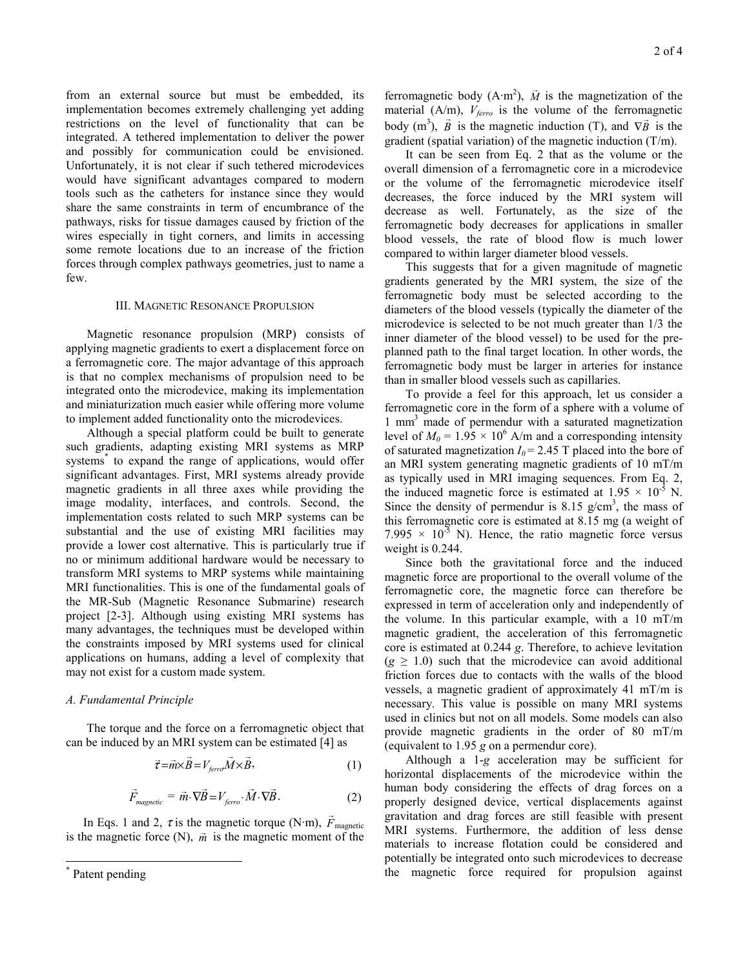from an external source but must be embedded, its implementation becomes extremely challenging yet adding restrictions on the level of functionality that can be integrated. A tethered implementation to deliver the power and possibly for communication could be envisioned. Unfortunately, it is not clear if such tethered microdevices would have significant advantages compared to modern tools such as the catheters for instance since they would share the same constraints in term of encumbrance of the pathways, risks for tissue damages caused by friction of the wires especially in tight corners, and limits in accessing some remote locations due to an increase of the friction forces through complex pathways geometries, just to name a few.

#### III. MAGNETIC RESONANCE PROPULSION

 Magnetic resonance propulsion (MRP) consists of applying magnetic gradients to exert a displacement force on a ferromagnetic core. The major advantage of this approach is that no complex mechanisms of propulsion need to be integrated onto the microdevice, making its implementation and miniaturization much easier while offering more volume to implement added functionality onto the microdevices.

 Although a special platform could be built to generate such gradients, adapting existing MRI systems as MRP systems\* to expand the range of applications, would offer significant advantages. First, MRI systems already provide magnetic gradients in all three axes while providing the image modality, interfaces, and controls. Second, the implementation costs related to such MRP systems can be substantial and the use of existing MRI facilities may provide a lower cost alternative. This is particularly true if no or minimum additional hardware would be necessary to transform MRI systems to MRP systems while maintaining MRI functionalities. This is one of the fundamental goals of the MR-Sub (Magnetic Resonance Submarine) research project [2-3]. Although using existing MRI systems has many advantages, the techniques must be developed within the constraints imposed by MRI systems used for clinical applications on humans, adding a level of complexity that may not exist for a custom made system.

## *A. Fundamental Principle*

The torque and the force on a ferromagnetic object that can be induced by an MRI system can be estimated [4] as

$$
\vec{\tau} = \vec{m} \times \vec{B} = V_{\text{ferro}} \vec{M} \times \vec{B},\tag{1}
$$

$$
\vec{F}_{magnetic} = \vec{m} \cdot \nabla \vec{B} = V_{\text{ferro}} \cdot \vec{M} \cdot \nabla \vec{B}.
$$
 (2)

In Eqs. 1 and 2,  $\tau$  is the magnetic torque (N·m),  $\vec{F}_{\text{magnetic}}$ is the magnetic force (N),  $\vec{m}$  is the magnetic moment of the

l

ferromagnetic body  $(A \cdot m^2)$ ,  $\vec{M}$  is the magnetization of the material  $(A/m)$ ,  $V_{ferro}$  is the volume of the ferromagnetic body  $(m^3)$ ,  $\vec{B}$  is the magnetic induction (T), and  $\nabla \vec{B}$  is the gradient (spatial variation) of the magnetic induction (T/m).

 It can be seen from Eq. 2 that as the volume or the overall dimension of a ferromagnetic core in a microdevice or the volume of the ferromagnetic microdevice itself decreases, the force induced by the MRI system will decrease as well. Fortunately, as the size of the ferromagnetic body decreases for applications in smaller blood vessels, the rate of blood flow is much lower compared to within larger diameter blood vessels.

 This suggests that for a given magnitude of magnetic gradients generated by the MRI system, the size of the ferromagnetic body must be selected according to the diameters of the blood vessels (typically the diameter of the microdevice is selected to be not much greater than 1/3 the inner diameter of the blood vessel) to be used for the preplanned path to the final target location. In other words, the ferromagnetic body must be larger in arteries for instance than in smaller blood vessels such as capillaries.

 To provide a feel for this approach, let us consider a ferromagnetic core in the form of a sphere with a volume of 1 mm3 made of permendur with a saturated magnetization level of  $M_0 = 1.95 \times 10^6$  A/m and a corresponding intensity of saturated magnetization  $I_0$  = 2.45 T placed into the bore of an MRI system generating magnetic gradients of 10 mT/m as typically used in MRI imaging sequences. From Eq. 2, the induced magnetic force is estimated at  $1.95 \times 10^{-5}$  N. Since the density of permendur is 8.15  $g/cm<sup>3</sup>$ , the mass of this ferromagnetic core is estimated at 8.15 mg (a weight of 7.995  $\times$  10<sup>-5</sup> N). Hence, the ratio magnetic force versus weight is 0.244.

 Since both the gravitational force and the induced magnetic force are proportional to the overall volume of the ferromagnetic core, the magnetic force can therefore be expressed in term of acceleration only and independently of the volume. In this particular example, with a 10 mT/m magnetic gradient, the acceleration of this ferromagnetic core is estimated at 0.244 *g*. Therefore, to achieve levitation  $(g \geq 1.0)$  such that the microdevice can avoid additional friction forces due to contacts with the walls of the blood vessels, a magnetic gradient of approximately 41 mT/m is necessary. This value is possible on many MRI systems used in clinics but not on all models. Some models can also provide magnetic gradients in the order of 80 mT/m (equivalent to 1.95 *g* on a permendur core).

 Although a 1-*g* acceleration may be sufficient for horizontal displacements of the microdevice within the human body considering the effects of drag forces on a properly designed device, vertical displacements against gravitation and drag forces are still feasible with present MRI systems. Furthermore, the addition of less dense materials to increase flotation could be considered and potentially be integrated onto such microdevices to decrease the magnetic force required for propulsion against

<sup>\*</sup> Patent pending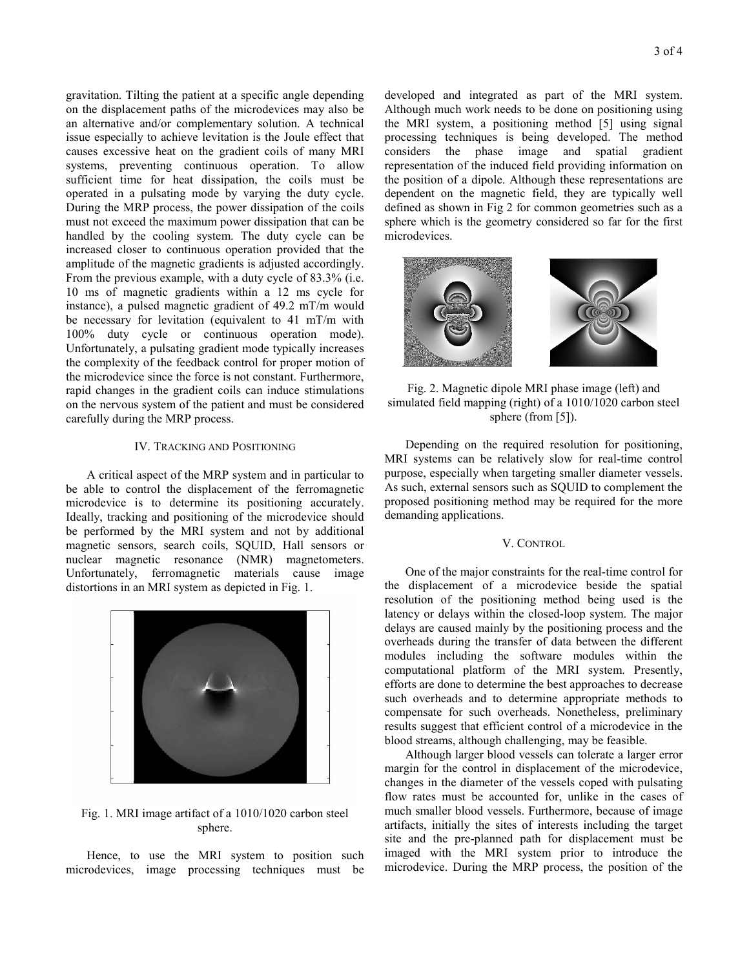gravitation. Tilting the patient at a specific angle depending on the displacement paths of the microdevices may also be an alternative and/or complementary solution. A technical issue especially to achieve levitation is the Joule effect that causes excessive heat on the gradient coils of many MRI systems, preventing continuous operation. To allow sufficient time for heat dissipation, the coils must be operated in a pulsating mode by varying the duty cycle. During the MRP process, the power dissipation of the coils must not exceed the maximum power dissipation that can be handled by the cooling system. The duty cycle can be increased closer to continuous operation provided that the amplitude of the magnetic gradients is adjusted accordingly. From the previous example, with a duty cycle of 83.3% (i.e. 10 ms of magnetic gradients within a 12 ms cycle for instance), a pulsed magnetic gradient of 49.2 mT/m would be necessary for levitation (equivalent to 41 mT/m with 100% duty cycle or continuous operation mode). Unfortunately, a pulsating gradient mode typically increases the complexity of the feedback control for proper motion of the microdevice since the force is not constant. Furthermore, rapid changes in the gradient coils can induce stimulations on the nervous system of the patient and must be considered carefully during the MRP process.

#### IV. TRACKING AND POSITIONING

 A critical aspect of the MRP system and in particular to be able to control the displacement of the ferromagnetic microdevice is to determine its positioning accurately. Ideally, tracking and positioning of the microdevice should be performed by the MRI system and not by additional magnetic sensors, search coils, SQUID, Hall sensors or nuclear magnetic resonance (NMR) magnetometers. Unfortunately, ferromagnetic materials cause image distortions in an MRI system as depicted in Fig. 1.



# Fig. 1. MRI image artifact of a 1010/1020 carbon steel sphere.

 Hence, to use the MRI system to position such microdevices, image processing techniques must be 3 of 4

developed and integrated as part of the MRI system. Although much work needs to be done on positioning using the MRI system, a positioning method [5] using signal processing techniques is being developed. The method considers the phase image and spatial gradient representation of the induced field providing information on the position of a dipole. Although these representations are dependent on the magnetic field, they are typically well defined as shown in Fig 2 for common geometries such as a sphere which is the geometry considered so far for the first microdevices.



Fig. 2. Magnetic dipole MRI phase image (left) and simulated field mapping (right) of a 1010/1020 carbon steel sphere (from [5]).

 Depending on the required resolution for positioning, MRI systems can be relatively slow for real-time control purpose, especially when targeting smaller diameter vessels. As such, external sensors such as SQUID to complement the proposed positioning method may be required for the more demanding applications.

## V. CONTROL

 One of the major constraints for the real-time control for the displacement of a microdevice beside the spatial resolution of the positioning method being used is the latency or delays within the closed-loop system. The major delays are caused mainly by the positioning process and the overheads during the transfer of data between the different modules including the software modules within the computational platform of the MRI system. Presently, efforts are done to determine the best approaches to decrease such overheads and to determine appropriate methods to compensate for such overheads. Nonetheless, preliminary results suggest that efficient control of a microdevice in the blood streams, although challenging, may be feasible.

 Although larger blood vessels can tolerate a larger error margin for the control in displacement of the microdevice, changes in the diameter of the vessels coped with pulsating flow rates must be accounted for, unlike in the cases of much smaller blood vessels. Furthermore, because of image artifacts, initially the sites of interests including the target site and the pre-planned path for displacement must be imaged with the MRI system prior to introduce the microdevice. During the MRP process, the position of the